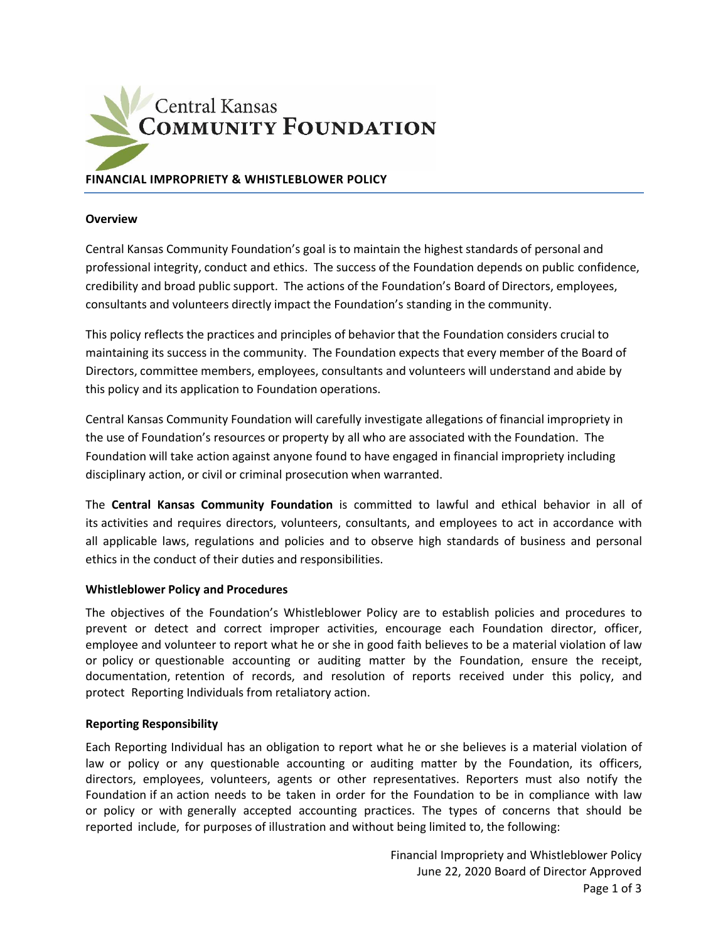

# **FINANCIAL IMPROPRIETY & WHISTLEBLOWER POLICY**

#### **Overview**

Central Kansas Community Foundation's goal is to maintain the highest standards of personal and professional integrity, conduct and ethics. The success of the Foundation depends on public confidence, credibility and broad public support. The actions of the Foundation's Board of Directors, employees, consultants and volunteers directly impact the Foundation's standing in the community.

This policy reflects the practices and principles of behavior that the Foundation considers crucial to maintaining its success in the community. The Foundation expects that every member of the Board of Directors, committee members, employees, consultants and volunteers will understand and abide by this policy and its application to Foundation operations.

Central Kansas Community Foundation will carefully investigate allegations of financial impropriety in the use of Foundation's resources or property by all who are associated with the Foundation. The Foundation will take action against anyone found to have engaged in financial impropriety including disciplinary action, or civil or criminal prosecution when warranted.

The **Central Kansas Community Foundation** is committed to lawful and ethical behavior in all of its activities and requires directors, volunteers, consultants, and employees to act in accordance with all applicable laws, regulations and policies and to observe high standards of business and personal ethics in the conduct of their duties and responsibilities.

### **Whistleblower Policy and Procedures**

The objectives of the Foundation's Whistleblower Policy are to establish policies and procedures to prevent or detect and correct improper activities, encourage each Foundation director, officer, employee and volunteer to report what he or she in good faith believes to be a material violation of law or policy or questionable accounting or auditing matter by the Foundation, ensure the receipt, documentation, retention of records, and resolution of reports received under this policy, and protect Reporting Individuals from retaliatory action.

#### **Reporting Responsibility**

Each Reporting Individual has an obligation to report what he or she believes is a material violation of law or policy or any questionable accounting or auditing matter by the Foundation, its officers, directors, employees, volunteers, agents or other representatives. Reporters must also notify the Foundation if an action needs to be taken in order for the Foundation to be in compliance with law or policy or with generally accepted accounting practices. The types of concerns that should be reported include, for purposes of illustration and without being limited to, the following: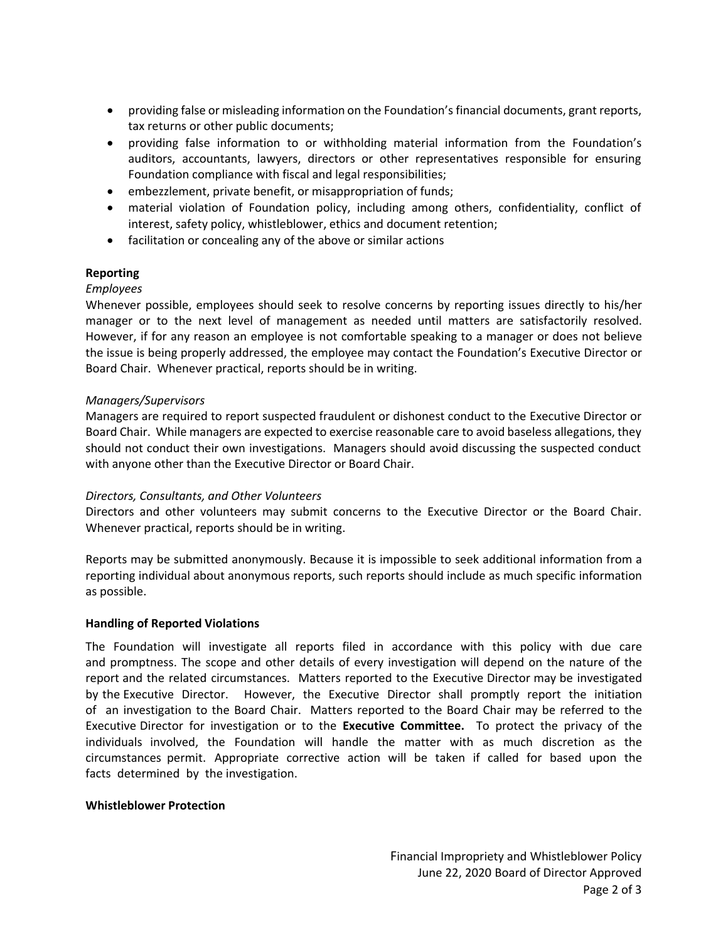- providing false or misleading information on the Foundation's financial documents, grant reports, tax returns or other public documents;
- providing false information to or withholding material information from the Foundation's auditors, accountants, lawyers, directors or other representatives responsible for ensuring Foundation compliance with fiscal and legal responsibilities;
- embezzlement, private benefit, or misappropriation of funds;
- material violation of Foundation policy, including among others, confidentiality, conflict of interest, safety policy, whistleblower, ethics and document retention;
- facilitation or concealing any of the above or similar actions

## **Reporting**

## *Employees*

Whenever possible, employees should seek to resolve concerns by reporting issues directly to his/her manager or to the next level of management as needed until matters are satisfactorily resolved. However, if for any reason an employee is not comfortable speaking to a manager or does not believe the issue is being properly addressed, the employee may contact the Foundation's Executive Director or Board Chair. Whenever practical, reports should be in writing.

## *Managers/Supervisors*

Managers are required to report suspected fraudulent or dishonest conduct to the Executive Director or Board Chair. While managers are expected to exercise reasonable care to avoid baseless allegations, they should not conduct their own investigations. Managers should avoid discussing the suspected conduct with anyone other than the Executive Director or Board Chair.

### *Directors, Consultants, and Other Volunteers*

Directors and other volunteers may submit concerns to the Executive Director or the Board Chair. Whenever practical, reports should be in writing.

Reports may be submitted anonymously. Because it is impossible to seek additional information from a reporting individual about anonymous reports, such reports should include as much specific information as possible.

### **Handling of Reported Violations**

The Foundation will investigate all reports filed in accordance with this policy with due care and promptness. The scope and other details of every investigation will depend on the nature of the report and the related circumstances. Matters reported to the Executive Director may be investigated by the Executive Director. However, the Executive Director shall promptly report the initiation of an investigation to the Board Chair. Matters reported to the Board Chair may be referred to the Executive Director for investigation or to the **Executive Committee.** To protect the privacy of the individuals involved, the Foundation will handle the matter with as much discretion as the circumstances permit. Appropriate corrective action will be taken if called for based upon the facts determined by the investigation.

### **Whistleblower Protection**